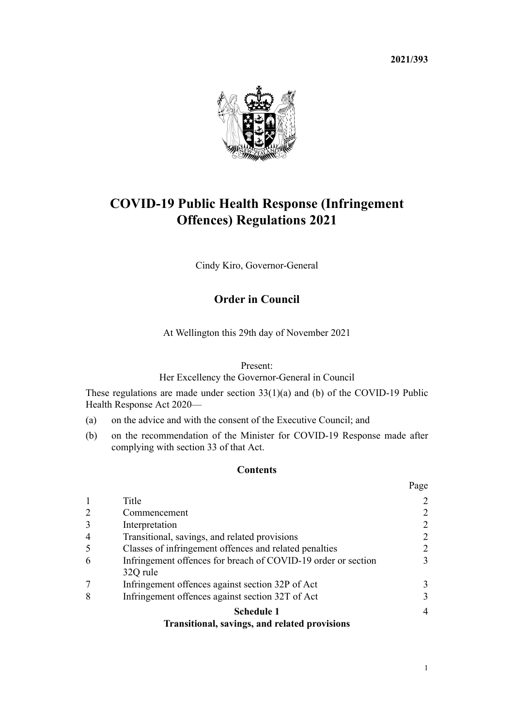**2021/393**



# **COVID-19 Public Health Response (Infringement Offences) Regulations 2021**

Cindy Kiro, Governor-General

# **Order in Council**

At Wellington this 29th day of November 2021

#### Present:

Her Excellency the Governor-General in Council

These regulations are made under [section 33\(1\)\(a\) and \(b\)](http://legislation.govt.nz/pdflink.aspx?id=LMS344209) of the [COVID-19 Public](http://legislation.govt.nz/pdflink.aspx?id=LMS344121) [Health Response Act 2020](http://legislation.govt.nz/pdflink.aspx?id=LMS344121)—

- (a) on the advice and with the consent of the Executive Council; and
- (b) on the recommendation of the Minister for COVID-19 Response made after complying with [section 33](http://legislation.govt.nz/pdflink.aspx?id=LMS344209) of that Act.

# **Contents**

|                |                                                               | 1 agu          |
|----------------|---------------------------------------------------------------|----------------|
|                | Title                                                         | 2              |
| 2              | Commencement                                                  | 2              |
| $\overline{3}$ | Interpretation                                                | 2              |
| $\overline{4}$ | Transitional, savings, and related provisions                 | 2              |
| -5             | Classes of infringement offences and related penalties        | 2              |
| 6              | Infringement offences for breach of COVID-19 order or section | 3              |
|                | 32Q rule                                                      |                |
|                | Infringement offences against section 32P of Act              | 3              |
| 8              | Infringement offences against section 32T of Act              | 3              |
|                | <b>Schedule 1</b>                                             | $\overline{4}$ |
|                | <b>Transitional, savings, and related provisions</b>          |                |

 $D_{\alpha\alpha\alpha}$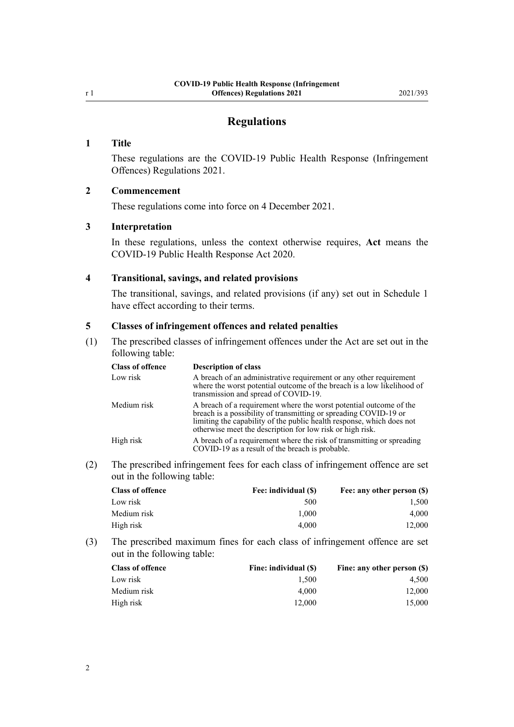# **Regulations**

#### <span id="page-1-0"></span>**1 Title**

These regulations are the COVID-19 Public Health Response (Infringement Offences) Regulations 2021.

#### **2 Commencement**

These regulations come into force on 4 December 2021.

# **3 Interpretation**

In these regulations, unless the context otherwise requires, **Act** means the [COVID-19 Public Health Response Act 2020](http://legislation.govt.nz/pdflink.aspx?id=LMS344121).

# **4 Transitional, savings, and related provisions**

The transitional, savings, and related provisions (if any) set out in [Schedule 1](#page-3-0) have effect according to their terms.

#### **5 Classes of infringement offences and related penalties**

(1) The prescribed classes of infringement offences under the Act are set out in the following table:

| <b>Class of offence</b> | <b>Description of class</b>                                                                                                                                                                                                                                                  |
|-------------------------|------------------------------------------------------------------------------------------------------------------------------------------------------------------------------------------------------------------------------------------------------------------------------|
| Low risk                | A breach of an administrative requirement or any other requirement<br>where the worst potential outcome of the breach is a low likelihood of<br>transmission and spread of COVID-19.                                                                                         |
| Medium risk             | A breach of a requirement where the worst potential outcome of the<br>breach is a possibility of transmitting or spreading COVID-19 or<br>limiting the capability of the public health response, which does not<br>otherwise meet the description for low risk or high risk. |
| High risk               | A breach of a requirement where the risk of transmitting or spreading<br>COVID-19 as a result of the breach is probable.                                                                                                                                                     |

(2) The prescribed infringement fees for each class of infringement offence are set out in the following table:

| <b>Class of offence</b> | Fee: individual (\$) | Fee: any other person (\$) |
|-------------------------|----------------------|----------------------------|
| Low risk                | 500                  | 1.500                      |
| Medium risk             | 1.000                | 4.000                      |
| High risk               | 4.000                | 12.000                     |

(3) The prescribed maximum fines for each class of infringement offence are set out in the following table:

| <b>Class of offence</b> | Fine: individual (\$) | Fine: any other person (\$) |
|-------------------------|-----------------------|-----------------------------|
| Low risk                | 1.500                 | 4.500                       |
| Medium risk             | 4.000                 | 12,000                      |
| High risk               | 12,000                | 15,000                      |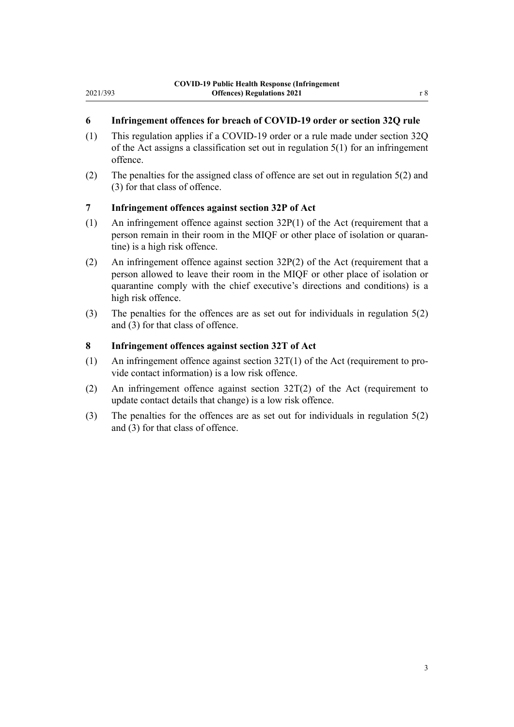#### **6 Infringement offences for breach of COVID-19 order or section 32Q rule**

- (1) This regulation applies if a COVID-19 order or a rule made under [section 32Q](http://legislation.govt.nz/pdflink.aspx?id=LMS600944) of the Act assigns a classification set out in [regulation 5\(1\)](#page-1-0) for an infringement offence.
- (2) The penalties for the assigned class of offence are set out in [regulation 5\(2\) and](#page-1-0) [\(3\)](#page-1-0) for that class of offence.

# **7 Infringement offences against section 32P of Act**

<span id="page-2-0"></span>2021/393

- (1) An infringement offence against [section 32P\(1\)](http://legislation.govt.nz/pdflink.aspx?id=LMS600943) of the Act (requirement that a person remain in their room in the MIQF or other place of isolation or quarantine) is a high risk offence.
- (2) An infringement offence against [section 32P\(2\)](http://legislation.govt.nz/pdflink.aspx?id=LMS600943) of the Act (requirement that a person allowed to leave their room in the MIQF or other place of isolation or quarantine comply with the chief executive's directions and conditions) is a high risk offence.
- (3) The penalties for the offences are as set out for individuals in [regulation 5\(2\)](#page-1-0) [and \(3\)](#page-1-0) for that class of offence.

#### **8 Infringement offences against section 32T of Act**

- (1) An infringement offence against section  $32T(1)$  of the Act (requirement to provide contact information) is a low risk offence.
- (2) An infringement offence against [section 32T\(2\)](http://legislation.govt.nz/pdflink.aspx?id=LMS600949) of the Act (requirement to update contact details that change) is a low risk offence.
- (3) The penalties for the offences are as set out for individuals in [regulation 5\(2\)](#page-1-0) [and \(3\)](#page-1-0) for that class of offence.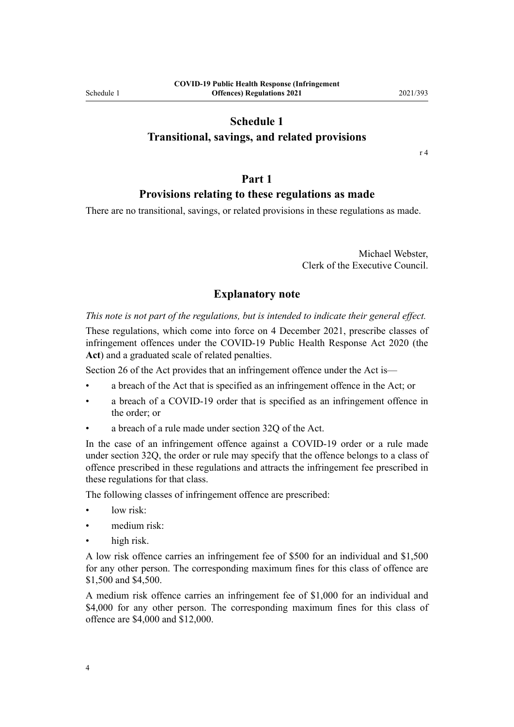# **Schedule 1**

# <span id="page-3-0"></span>**Transitional, savings, and related provisions**

[r 4](#page-1-0)

# **Part 1**

# **Provisions relating to these regulations as made**

There are no transitional, savings, or related provisions in these regulations as made.

Michael Webster, Clerk of the Executive Council.

# **Explanatory note**

*This note is not part of the regulations, but is intended to indicate their general effect.*

These regulations, which come into force on 4 December 2021, prescribe classes of infringement offences under the [COVID-19 Public Health Response Act 2020](http://legislation.govt.nz/pdflink.aspx?id=LMS344121) (the **Act**) and a graduated scale of related penalties.

[Section 26](http://legislation.govt.nz/pdflink.aspx?id=LMS344200) of the Act provides that an infringement offence under the Act is—

- a breach of the Act that is specified as an infringement offence in the Act; or
- a breach of a COVID-19 order that is specified as an infringement offence in the order; or
- a breach of a rule made under [section 32Q](http://legislation.govt.nz/pdflink.aspx?id=LMS600944) of the Act.

In the case of an infringement offence against a COVID-19 order or a rule made under [section 32Q,](http://legislation.govt.nz/pdflink.aspx?id=LMS600944) the order or rule may specify that the offence belongs to a class of offence prescribed in these regulations and attracts the infringement fee prescribed in these regulations for that class.

The following classes of infringement offence are prescribed:

- low risk:
- medium risk:
- high risk.

A low risk offence carries an infringement fee of \$500 for an individual and \$1,500 for any other person. The corresponding maximum fines for this class of offence are \$1,500 and \$4,500.

A medium risk offence carries an infringement fee of \$1,000 for an individual and \$4,000 for any other person. The corresponding maximum fines for this class of offence are \$4,000 and \$12,000.